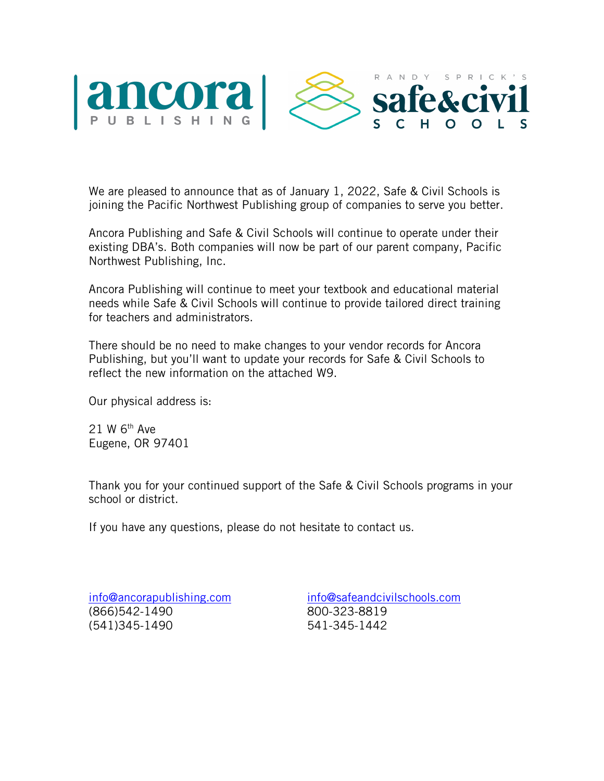

We are pleased to announce that as of January 1, 2022, Safe & Civil Schools is joining the Pacific Northwest Publishing group of companies to serve you better.

Ancora Publishing and Safe & Civil Schools will continue to operate under their existing DBA's. Both companies will now be part of our parent company, Pacific Northwest Publishing, Inc.

Ancora Publishing will continue to meet your textbook and educational material needs while Safe & Civil Schools will continue to provide tailored direct training for teachers and administrators.

There should be no need to make changes to your vendor records for Ancora Publishing, but you'll want to update your records for Safe & Civil Schools to reflect the new information on the attached W9.

Our physical address is:

21 W 6th Ave Eugene, OR 97401

Thank you for your continued support of the Safe & Civil Schools programs in your school or district.

If you have any questions, please do not hesitate to contact us.

info@ancorapublishing.com (866)542-1490 (541)345-1490

info@safeandcivilschools.com 800-323-8819 541-345-1442